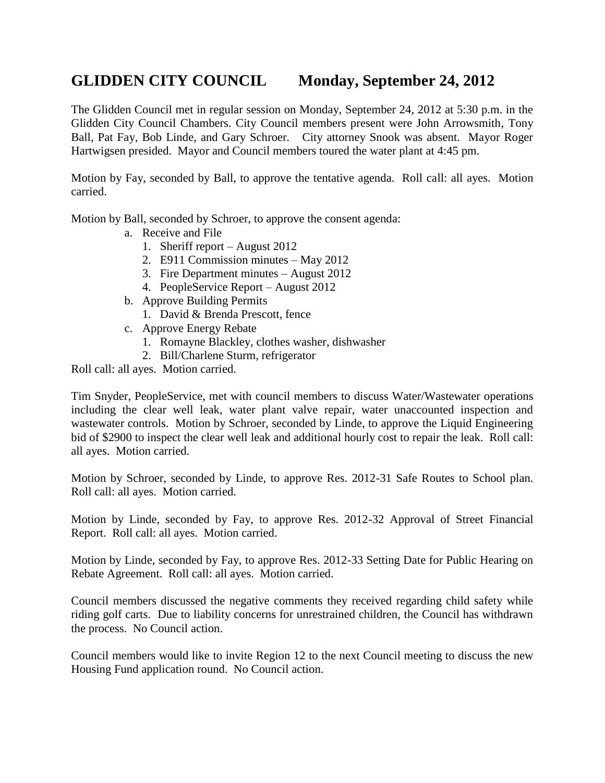## **GLIDDEN CITY COUNCIL Monday, September 24, 2012**

The Glidden Council met in regular session on Monday, September 24, 2012 at 5:30 p.m. in the Glidden City Council Chambers. City Council members present were John Arrowsmith, Tony Ball, Pat Fay, Bob Linde, and Gary Schroer. City attorney Snook was absent. Mayor Roger Hartwigsen presided. Mayor and Council members toured the water plant at 4:45 pm.

Motion by Fay, seconded by Ball, to approve the tentative agenda. Roll call: all ayes. Motion carried.

Motion by Ball, seconded by Schroer, to approve the consent agenda:

- a. Receive and File
	- 1. Sheriff report August 2012
	- 2. E911 Commission minutes May 2012
	- 3. Fire Department minutes August 2012
	- 4. PeopleService Report August 2012
- b. Approve Building Permits
	- 1. David & Brenda Prescott, fence
- c. Approve Energy Rebate
	- 1. Romayne Blackley, clothes washer, dishwasher
	- 2. Bill/Charlene Sturm, refrigerator

Roll call: all ayes. Motion carried.

Tim Snyder, PeopleService, met with council members to discuss Water/Wastewater operations including the clear well leak, water plant valve repair, water unaccounted inspection and wastewater controls. Motion by Schroer, seconded by Linde, to approve the Liquid Engineering bid of \$2900 to inspect the clear well leak and additional hourly cost to repair the leak. Roll call: all ayes. Motion carried.

Motion by Schroer, seconded by Linde, to approve Res. 2012-31 Safe Routes to School plan. Roll call: all ayes. Motion carried.

Motion by Linde, seconded by Fay, to approve Res. 2012-32 Approval of Street Financial Report. Roll call: all ayes. Motion carried.

Motion by Linde, seconded by Fay, to approve Res. 2012-33 Setting Date for Public Hearing on Rebate Agreement. Roll call: all ayes. Motion carried.

Council members discussed the negative comments they received regarding child safety while riding golf carts. Due to liability concerns for unrestrained children, the Council has withdrawn the process. No Council action.

Council members would like to invite Region 12 to the next Council meeting to discuss the new Housing Fund application round. No Council action.